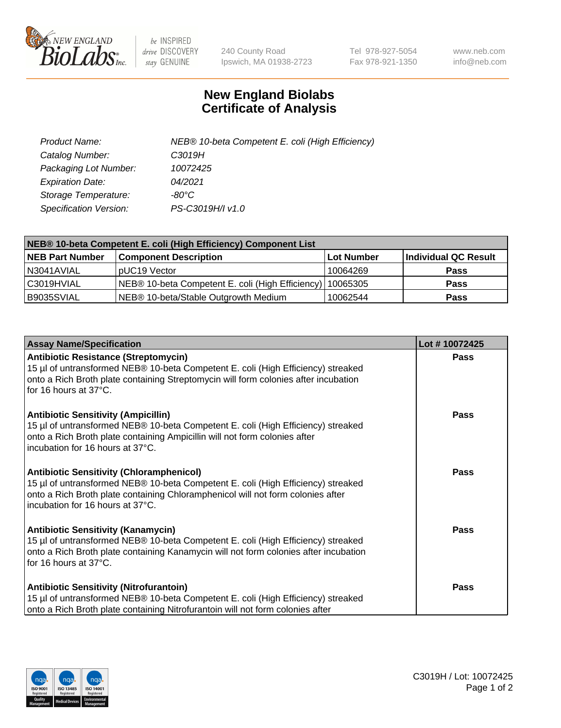

 $be$  INSPIRED drive DISCOVERY stay GENUINE

240 County Road Ipswich, MA 01938-2723 Tel 978-927-5054 Fax 978-921-1350 www.neb.com info@neb.com

## **New England Biolabs Certificate of Analysis**

| Product Name:           | NEB® 10-beta Competent E. coli (High Efficiency) |
|-------------------------|--------------------------------------------------|
| Catalog Number:         | C3019H                                           |
| Packaging Lot Number:   | 10072425                                         |
| <b>Expiration Date:</b> | 04/2021                                          |
| Storage Temperature:    | -80°C                                            |
| Specification Version:  | PS-C3019H/I v1.0                                 |

| NEB® 10-beta Competent E. coli (High Efficiency) Component List |                                                             |            |                      |  |
|-----------------------------------------------------------------|-------------------------------------------------------------|------------|----------------------|--|
| <b>NEB Part Number</b>                                          | <b>Component Description</b>                                | Lot Number | Individual QC Result |  |
| N3041AVIAL                                                      | pUC19 Vector                                                | 10064269   | <b>Pass</b>          |  |
| l C3019HVIAL                                                    | NEB® 10-beta Competent E. coli (High Efficiency)   10065305 |            | <b>Pass</b>          |  |
| B9035SVIAL                                                      | NEB® 10-beta/Stable Outgrowth Medium                        | 10062544   | <b>Pass</b>          |  |

| <b>Assay Name/Specification</b>                                                                                                                                                                                                                            | Lot #10072425 |
|------------------------------------------------------------------------------------------------------------------------------------------------------------------------------------------------------------------------------------------------------------|---------------|
| <b>Antibiotic Resistance (Streptomycin)</b><br>15 µl of untransformed NEB® 10-beta Competent E. coli (High Efficiency) streaked<br>onto a Rich Broth plate containing Streptomycin will form colonies after incubation<br>for 16 hours at 37°C.            | Pass          |
| <b>Antibiotic Sensitivity (Ampicillin)</b><br>15 µl of untransformed NEB® 10-beta Competent E. coli (High Efficiency) streaked<br>onto a Rich Broth plate containing Ampicillin will not form colonies after<br>incubation for 16 hours at 37°C.           | Pass          |
| <b>Antibiotic Sensitivity (Chloramphenicol)</b><br>15 µl of untransformed NEB® 10-beta Competent E. coli (High Efficiency) streaked<br>onto a Rich Broth plate containing Chloramphenicol will not form colonies after<br>incubation for 16 hours at 37°C. | Pass          |
| <b>Antibiotic Sensitivity (Kanamycin)</b><br>15 µl of untransformed NEB® 10-beta Competent E. coli (High Efficiency) streaked<br>onto a Rich Broth plate containing Kanamycin will not form colonies after incubation<br>for 16 hours at 37°C.             | <b>Pass</b>   |
| <b>Antibiotic Sensitivity (Nitrofurantoin)</b><br>15 µl of untransformed NEB® 10-beta Competent E. coli (High Efficiency) streaked<br>onto a Rich Broth plate containing Nitrofurantoin will not form colonies after                                       | <b>Pass</b>   |